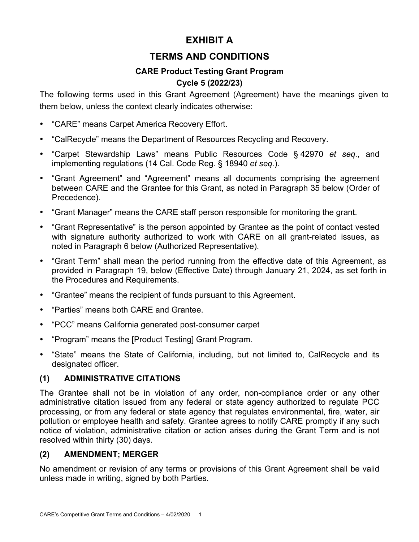# **EXHIBIT A**

# **TERMS AND CONDITIONS**

# **CARE Product Testing Grant Program**

# **Cycle 5 (2022/23)**

The following terms used in this Grant Agreement (Agreement) have the meanings given to them below, unless the context clearly indicates otherwise:

- "CARE" means Carpet America Recovery Effort.
- "CalRecycle" means the Department of Resources Recycling and Recovery.
- "Carpet Stewardship Laws" means Public Resources Code § 42970 *et seq.*, and implementing regulations (14 Cal. Code Reg. § 18940 *et seq.*).
- "Grant Agreement" and "Agreement" means all documents comprising the agreement between CARE and the Grantee for this Grant, as noted in Paragraph 35 below (Order of Precedence).
- "Grant Manager" means the CARE staff person responsible for monitoring the grant.
- "Grant Representative" is the person appointed by Grantee as the point of contact vested with signature authority authorized to work with CARE on all grant-related issues, as noted in Paragraph 6 below (Authorized Representative).
- "Grant Term" shall mean the period running from the effective date of this Agreement, as provided in Paragraph 19, below (Effective Date) through January 21, 2024, as set forth in the Procedures and Requirements.
- "Grantee" means the recipient of funds pursuant to this Agreement.
- "Parties" means both CARE and Grantee.
- "PCC" means California generated post-consumer carpet
- "Program" means the [Product Testing] Grant Program.
- "State" means the State of California, including, but not limited to, CalRecycle and its designated officer.

# **(1) ADMINISTRATIVE CITATIONS**

The Grantee shall not be in violation of any order, non-compliance order or any other administrative citation issued from any federal or state agency authorized to regulate PCC processing, or from any federal or state agency that regulates environmental, fire, water, air pollution or employee health and safety. Grantee agrees to notify CARE promptly if any such notice of violation, administrative citation or action arises during the Grant Term and is not resolved within thirty (30) days.

# **(2) AMENDMENT; MERGER**

No amendment or revision of any terms or provisions of this Grant Agreement shall be valid unless made in writing, signed by both Parties.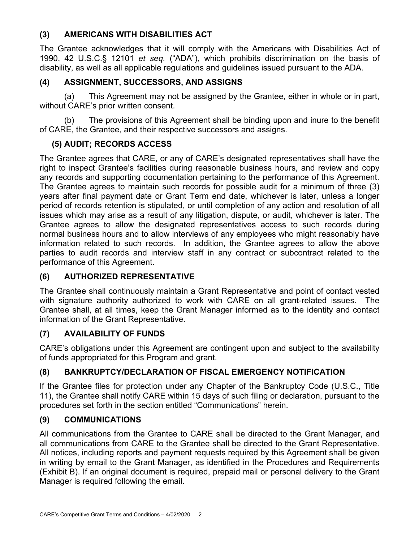### **(3) AMERICANS WITH DISABILITIES ACT**

The Grantee acknowledges that it will comply with the Americans with Disabilities Act of 1990, 42 U.S.C.§ 12101 *et seq.* ("ADA"), which prohibits discrimination on the basis of disability, as well as all applicable regulations and guidelines issued pursuant to the ADA.

# **(4) ASSIGNMENT, SUCCESSORS, AND ASSIGNS**

(a) This Agreement may not be assigned by the Grantee, either in whole or in part, without CARE's prior written consent.

(b) The provisions of this Agreement shall be binding upon and inure to the benefit of CARE, the Grantee, and their respective successors and assigns.

# **(5) AUDIT; RECORDS ACCESS**

The Grantee agrees that CARE, or any of CARE's designated representatives shall have the right to inspect Grantee's facilities during reasonable business hours, and review and copy any records and supporting documentation pertaining to the performance of this Agreement. The Grantee agrees to maintain such records for possible audit for a minimum of three (3) years after final payment date or Grant Term end date, whichever is later, unless a longer period of records retention is stipulated, or until completion of any action and resolution of all issues which may arise as a result of any litigation, dispute, or audit, whichever is later. The Grantee agrees to allow the designated representatives access to such records during normal business hours and to allow interviews of any employees who might reasonably have information related to such records. In addition, the Grantee agrees to allow the above parties to audit records and interview staff in any contract or subcontract related to the performance of this Agreement.

# **(6) AUTHORIZED REPRESENTATIVE**

The Grantee shall continuously maintain a Grant Representative and point of contact vested with signature authority authorized to work with CARE on all grant-related issues. The Grantee shall, at all times, keep the Grant Manager informed as to the identity and contact information of the Grant Representative.

# **(7) AVAILABILITY OF FUNDS**

CARE's obligations under this Agreement are contingent upon and subject to the availability of funds appropriated for this Program and grant.

# **(8) BANKRUPTCY/DECLARATION OF FISCAL EMERGENCY NOTIFICATION**

If the Grantee files for protection under any Chapter of the Bankruptcy Code (U.S.C., Title 11), the Grantee shall notify CARE within 15 days of such filing or declaration, pursuant to the procedures set forth in the section entitled "Communications" herein.

# **(9) COMMUNICATIONS**

All communications from the Grantee to CARE shall be directed to the Grant Manager, and all communications from CARE to the Grantee shall be directed to the Grant Representative. All notices, including reports and payment requests required by this Agreement shall be given in writing by email to the Grant Manager, as identified in the Procedures and Requirements (Exhibit B). If an original document is required, prepaid mail or personal delivery to the Grant Manager is required following the email.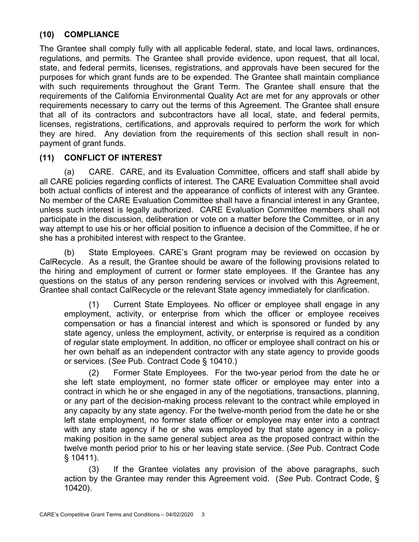#### **(10) COMPLIANCE**

The Grantee shall comply fully with all applicable federal, state, and local laws, ordinances, regulations, and permits. The Grantee shall provide evidence, upon request, that all local, state, and federal permits, licenses, registrations, and approvals have been secured for the purposes for which grant funds are to be expended. The Grantee shall maintain compliance with such requirements throughout the Grant Term. The Grantee shall ensure that the requirements of the California Environmental Quality Act are met for any approvals or other requirements necessary to carry out the terms of this Agreement. The Grantee shall ensure that all of its contractors and subcontractors have all local, state, and federal permits, licenses, registrations, certifications, and approvals required to perform the work for which they are hired. Any deviation from the requirements of this section shall result in nonpayment of grant funds.

### **(11) CONFLICT OF INTEREST**

(a) CARE. CARE, and its Evaluation Committee, officers and staff shall abide by all CARE policies regarding conflicts of interest. The CARE Evaluation Committee shall avoid both actual conflicts of interest and the appearance of conflicts of interest with any Grantee. No member of the CARE Evaluation Committee shall have a financial interest in any Grantee, unless such interest is legally authorized. CARE Evaluation Committee members shall not participate in the discussion, deliberation or vote on a matter before the Committee, or in any way attempt to use his or her official position to influence a decision of the Committee, if he or she has a prohibited interest with respect to the Grantee.

(b) State Employees. CARE's Grant program may be reviewed on occasion by CalRecycle. As a result, the Grantee should be aware of the following provisions related to the hiring and employment of current or former state employees. If the Grantee has any questions on the status of any person rendering services or involved with this Agreement, Grantee shall contact CalRecycle or the relevant State agency immediately for clarification.

(1) Current State Employees. No officer or employee shall engage in any employment, activity, or enterprise from which the officer or employee receives compensation or has a financial interest and which is sponsored or funded by any state agency, unless the employment, activity, or enterprise is required as a condition of regular state employment. In addition, no officer or employee shall contract on his or her own behalf as an independent contractor with any state agency to provide goods or services. (*See* Pub. Contract Code § 10410.)

(2) Former State Employees. For the two-year period from the date he or she left state employment, no former state officer or employee may enter into a contract in which he or she engaged in any of the negotiations, transactions, planning, or any part of the decision-making process relevant to the contract while employed in any capacity by any state agency. For the twelve-month period from the date he or she left state employment, no former state officer or employee may enter into a contract with any state agency if he or she was employed by that state agency in a policymaking position in the same general subject area as the proposed contract within the twelve month period prior to his or her leaving state service. (*See* Pub. Contract Code § 10411).

(3) If the Grantee violates any provision of the above paragraphs, such action by the Grantee may render this Agreement void. (*See* Pub. Contract Code, § 10420).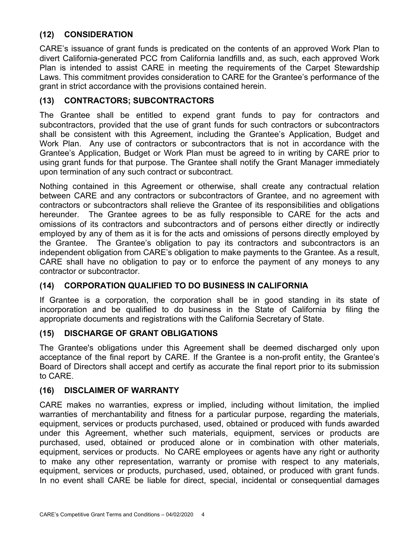# **(12) CONSIDERATION**

CARE's issuance of grant funds is predicated on the contents of an approved Work Plan to divert California-generated PCC from California landfills and, as such, each approved Work Plan is intended to assist CARE in meeting the requirements of the Carpet Stewardship Laws. This commitment provides consideration to CARE for the Grantee's performance of the grant in strict accordance with the provisions contained herein.

#### **(13) CONTRACTORS; SUBCONTRACTORS**

The Grantee shall be entitled to expend grant funds to pay for contractors and subcontractors, provided that the use of grant funds for such contractors or subcontractors shall be consistent with this Agreement, including the Grantee's Application, Budget and Work Plan. Any use of contractors or subcontractors that is not in accordance with the Grantee's Application, Budget or Work Plan must be agreed to in writing by CARE prior to using grant funds for that purpose. The Grantee shall notify the Grant Manager immediately upon termination of any such contract or subcontract.

Nothing contained in this Agreement or otherwise, shall create any contractual relation between CARE and any contractors or subcontractors of Grantee, and no agreement with contractors or subcontractors shall relieve the Grantee of its responsibilities and obligations hereunder. The Grantee agrees to be as fully responsible to CARE for the acts and omissions of its contractors and subcontractors and of persons either directly or indirectly employed by any of them as it is for the acts and omissions of persons directly employed by the Grantee. The Grantee's obligation to pay its contractors and subcontractors is an independent obligation from CARE's obligation to make payments to the Grantee. As a result, CARE shall have no obligation to pay or to enforce the payment of any moneys to any contractor or subcontractor.

### **(14) CORPORATION QUALIFIED TO DO BUSINESS IN CALIFORNIA**

If Grantee is a corporation, the corporation shall be in good standing in its state of incorporation and be qualified to do business in the State of California by filing the appropriate documents and registrations with the California Secretary of State.

#### **(15) DISCHARGE OF GRANT OBLIGATIONS**

The Grantee's obligations under this Agreement shall be deemed discharged only upon acceptance of the final report by CARE. If the Grantee is a non-profit entity, the Grantee's Board of Directors shall accept and certify as accurate the final report prior to its submission to CARE.

#### **(16) DISCLAIMER OF WARRANTY**

CARE makes no warranties, express or implied, including without limitation, the implied warranties of merchantability and fitness for a particular purpose, regarding the materials, equipment, services or products purchased, used, obtained or produced with funds awarded under this Agreement, whether such materials, equipment, services or products are purchased, used, obtained or produced alone or in combination with other materials, equipment, services or products. No CARE employees or agents have any right or authority to make any other representation, warranty or promise with respect to any materials, equipment, services or products, purchased, used, obtained, or produced with grant funds. In no event shall CARE be liable for direct, special, incidental or consequential damages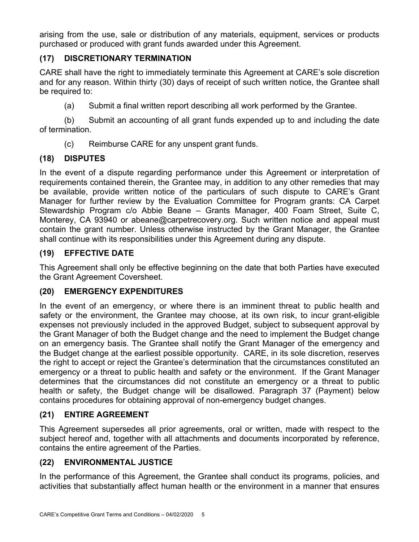arising from the use, sale or distribution of any materials, equipment, services or products purchased or produced with grant funds awarded under this Agreement.

# **(17) DISCRETIONARY TERMINATION**

CARE shall have the right to immediately terminate this Agreement at CARE's sole discretion and for any reason. Within thirty (30) days of receipt of such written notice, the Grantee shall be required to:

(a) Submit a final written report describing all work performed by the Grantee.

(b) Submit an accounting of all grant funds expended up to and including the date of termination.

(c) Reimburse CARE for any unspent grant funds.

# **(18) DISPUTES**

In the event of a dispute regarding performance under this Agreement or interpretation of requirements contained therein, the Grantee may, in addition to any other remedies that may be available, provide written notice of the particulars of such dispute to CARE's Grant Manager for further review by the Evaluation Committee for Program grants: CA Carpet Stewardship Program c/o Abbie Beane – Grants Manager, 400 Foam Street, Suite C, Monterey, CA 93940 or abeane@carpetrecovery.org. Such written notice and appeal must contain the grant number. Unless otherwise instructed by the Grant Manager, the Grantee shall continue with its responsibilities under this Agreement during any dispute.

# **(19) EFFECTIVE DATE**

This Agreement shall only be effective beginning on the date that both Parties have executed the Grant Agreement Coversheet.

### **(20) EMERGENCY EXPENDITURES**

In the event of an emergency, or where there is an imminent threat to public health and safety or the environment, the Grantee may choose, at its own risk, to incur grant-eligible expenses not previously included in the approved Budget, subject to subsequent approval by the Grant Manager of both the Budget change and the need to implement the Budget change on an emergency basis. The Grantee shall notify the Grant Manager of the emergency and the Budget change at the earliest possible opportunity. CARE, in its sole discretion, reserves the right to accept or reject the Grantee's determination that the circumstances constituted an emergency or a threat to public health and safety or the environment. If the Grant Manager determines that the circumstances did not constitute an emergency or a threat to public health or safety, the Budget change will be disallowed. Paragraph 37 (Payment) below contains procedures for obtaining approval of non-emergency budget changes.

# **(21) ENTIRE AGREEMENT**

This Agreement supersedes all prior agreements, oral or written, made with respect to the subject hereof and, together with all attachments and documents incorporated by reference, contains the entire agreement of the Parties.

# **(22) ENVIRONMENTAL JUSTICE**

In the performance of this Agreement, the Grantee shall conduct its programs, policies, and activities that substantially affect human health or the environment in a manner that ensures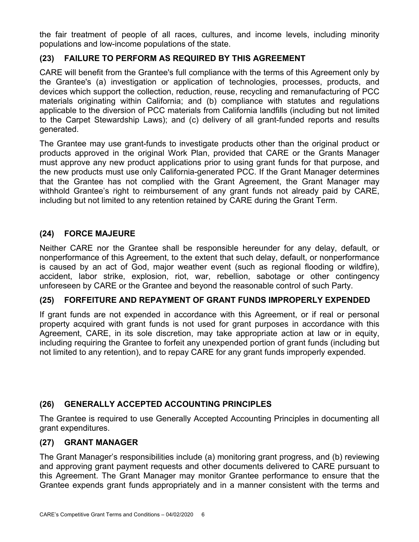the fair treatment of people of all races, cultures, and income levels, including minority populations and low-income populations of the state.

# **(23) FAILURE TO PERFORM AS REQUIRED BY THIS AGREEMENT**

CARE will benefit from the Grantee's full compliance with the terms of this Agreement only by the Grantee's (a) investigation or application of technologies, processes, products, and devices which support the collection, reduction, reuse, recycling and remanufacturing of PCC materials originating within California; and (b) compliance with statutes and regulations applicable to the diversion of PCC materials from California landfills (including but not limited to the Carpet Stewardship Laws); and (c) delivery of all grant-funded reports and results generated.

The Grantee may use grant-funds to investigate products other than the original product or products approved in the original Work Plan, provided that CARE or the Grants Manager must approve any new product applications prior to using grant funds for that purpose, and the new products must use only California-generated PCC. If the Grant Manager determines that the Grantee has not complied with the Grant Agreement, the Grant Manager may withhold Grantee's right to reimbursement of any grant funds not already paid by CARE, including but not limited to any retention retained by CARE during the Grant Term.

# **(24) FORCE MAJEURE**

Neither CARE nor the Grantee shall be responsible hereunder for any delay, default, or nonperformance of this Agreement, to the extent that such delay, default, or nonperformance is caused by an act of God, major weather event (such as regional flooding or wildfire), accident, labor strike, explosion, riot, war, rebellion, sabotage or other contingency unforeseen by CARE or the Grantee and beyond the reasonable control of such Party.

#### **(25) FORFEITURE AND REPAYMENT OF GRANT FUNDS IMPROPERLY EXPENDED**

If grant funds are not expended in accordance with this Agreement, or if real or personal property acquired with grant funds is not used for grant purposes in accordance with this Agreement, CARE, in its sole discretion, may take appropriate action at law or in equity, including requiring the Grantee to forfeit any unexpended portion of grant funds (including but not limited to any retention), and to repay CARE for any grant funds improperly expended.

### **(26) GENERALLY ACCEPTED ACCOUNTING PRINCIPLES**

The Grantee is required to use Generally Accepted Accounting Principles in documenting all grant expenditures.

#### **(27) GRANT MANAGER**

The Grant Manager's responsibilities include (a) monitoring grant progress, and (b) reviewing and approving grant payment requests and other documents delivered to CARE pursuant to this Agreement. The Grant Manager may monitor Grantee performance to ensure that the Grantee expends grant funds appropriately and in a manner consistent with the terms and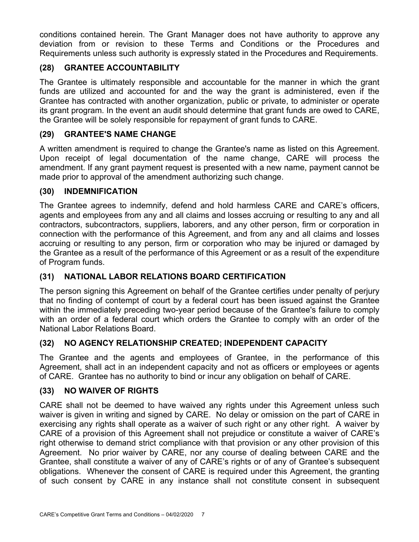conditions contained herein. The Grant Manager does not have authority to approve any deviation from or revision to these Terms and Conditions or the Procedures and Requirements unless such authority is expressly stated in the Procedures and Requirements.

# **(28) GRANTEE ACCOUNTABILITY**

The Grantee is ultimately responsible and accountable for the manner in which the grant funds are utilized and accounted for and the way the grant is administered, even if the Grantee has contracted with another organization, public or private, to administer or operate its grant program. In the event an audit should determine that grant funds are owed to CARE, the Grantee will be solely responsible for repayment of grant funds to CARE.

### **(29) GRANTEE'S NAME CHANGE**

A written amendment is required to change the Grantee's name as listed on this Agreement. Upon receipt of legal documentation of the name change, CARE will process the amendment. If any grant payment request is presented with a new name, payment cannot be made prior to approval of the amendment authorizing such change.

### **(30) INDEMNIFICATION**

The Grantee agrees to indemnify, defend and hold harmless CARE and CARE's officers, agents and employees from any and all claims and losses accruing or resulting to any and all contractors, subcontractors, suppliers, laborers, and any other person, firm or corporation in connection with the performance of this Agreement, and from any and all claims and losses accruing or resulting to any person, firm or corporation who may be injured or damaged by the Grantee as a result of the performance of this Agreement or as a result of the expenditure of Program funds.

# **(31) NATIONAL LABOR RELATIONS BOARD CERTIFICATION**

The person signing this Agreement on behalf of the Grantee certifies under penalty of perjury that no finding of contempt of court by a federal court has been issued against the Grantee within the immediately preceding two-year period because of the Grantee's failure to comply with an order of a federal court which orders the Grantee to comply with an order of the National Labor Relations Board.

# **(32) NO AGENCY RELATIONSHIP CREATED; INDEPENDENT CAPACITY**

The Grantee and the agents and employees of Grantee, in the performance of this Agreement, shall act in an independent capacity and not as officers or employees or agents of CARE. Grantee has no authority to bind or incur any obligation on behalf of CARE.

### **(33) NO WAIVER OF RIGHTS**

CARE shall not be deemed to have waived any rights under this Agreement unless such waiver is given in writing and signed by CARE. No delay or omission on the part of CARE in exercising any rights shall operate as a waiver of such right or any other right. A waiver by CARE of a provision of this Agreement shall not prejudice or constitute a waiver of CARE's right otherwise to demand strict compliance with that provision or any other provision of this Agreement. No prior waiver by CARE, nor any course of dealing between CARE and the Grantee, shall constitute a waiver of any of CARE's rights or of any of Grantee's subsequent obligations. Whenever the consent of CARE is required under this Agreement, the granting of such consent by CARE in any instance shall not constitute consent in subsequent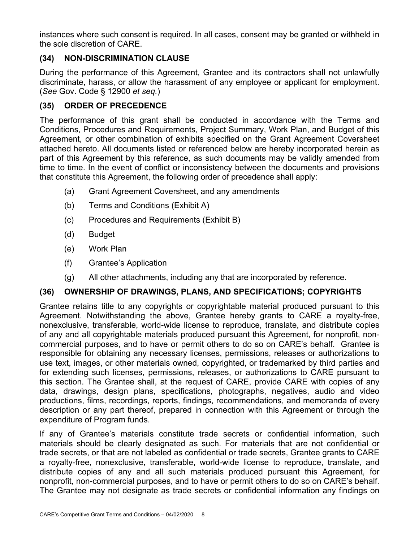instances where such consent is required. In all cases, consent may be granted or withheld in the sole discretion of CARE.

# **(34) NON-DISCRIMINATION CLAUSE**

During the performance of this Agreement, Grantee and its contractors shall not unlawfully discriminate, harass, or allow the harassment of any employee or applicant for employment. (*See* Gov. Code § 12900 *et seq.*)

# **(35) ORDER OF PRECEDENCE**

The performance of this grant shall be conducted in accordance with the Terms and Conditions, Procedures and Requirements, Project Summary, Work Plan, and Budget of this Agreement, or other combination of exhibits specified on the Grant Agreement Coversheet attached hereto. All documents listed or referenced below are hereby incorporated herein as part of this Agreement by this reference, as such documents may be validly amended from time to time. In the event of conflict or inconsistency between the documents and provisions that constitute this Agreement, the following order of precedence shall apply:

- (a) Grant Agreement Coversheet, and any amendments
- (b) Terms and Conditions (Exhibit A)
- (c) Procedures and Requirements (Exhibit B)
- (d) Budget
- (e) Work Plan
- (f) Grantee's Application
- (g) All other attachments, including any that are incorporated by reference.

### **(36) OWNERSHIP OF DRAWINGS, PLANS, AND SPECIFICATIONS; COPYRIGHTS**

Grantee retains title to any copyrights or copyrightable material produced pursuant to this Agreement. Notwithstanding the above, Grantee hereby grants to CARE a royalty-free, nonexclusive, transferable, world-wide license to reproduce, translate, and distribute copies of any and all copyrightable materials produced pursuant this Agreement, for nonprofit, noncommercial purposes, and to have or permit others to do so on CARE's behalf. Grantee is responsible for obtaining any necessary licenses, permissions, releases or authorizations to use text, images, or other materials owned, copyrighted, or trademarked by third parties and for extending such licenses, permissions, releases, or authorizations to CARE pursuant to this section. The Grantee shall, at the request of CARE, provide CARE with copies of any data, drawings, design plans, specifications, photographs, negatives, audio and video productions, films, recordings, reports, findings, recommendations, and memoranda of every description or any part thereof, prepared in connection with this Agreement or through the expenditure of Program funds.

If any of Grantee's materials constitute trade secrets or confidential information, such materials should be clearly designated as such. For materials that are not confidential or trade secrets, or that are not labeled as confidential or trade secrets, Grantee grants to CARE a royalty-free, nonexclusive, transferable, world-wide license to reproduce, translate, and distribute copies of any and all such materials produced pursuant this Agreement, for nonprofit, non-commercial purposes, and to have or permit others to do so on CARE's behalf. The Grantee may not designate as trade secrets or confidential information any findings on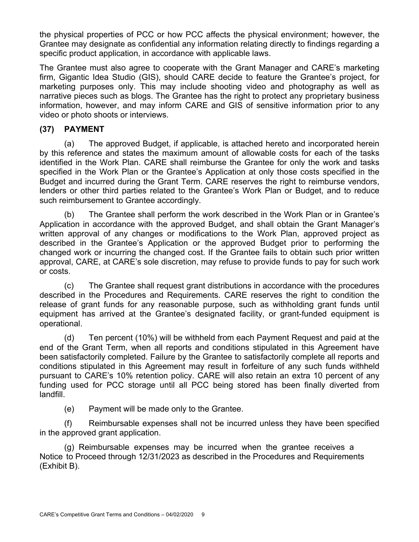the physical properties of PCC or how PCC affects the physical environment; however, the Grantee may designate as confidential any information relating directly to findings regarding a specific product application, in accordance with applicable laws.

The Grantee must also agree to cooperate with the Grant Manager and CARE's marketing firm, Gigantic Idea Studio (GIS), should CARE decide to feature the Grantee's project, for marketing purposes only. This may include shooting video and photography as well as narrative pieces such as blogs. The Grantee has the right to protect any proprietary business information, however, and may inform CARE and GIS of sensitive information prior to any video or photo shoots or interviews.

### **(37) PAYMENT**

(a) The approved Budget, if applicable, is attached hereto and incorporated herein by this reference and states the maximum amount of allowable costs for each of the tasks identified in the Work Plan. CARE shall reimburse the Grantee for only the work and tasks specified in the Work Plan or the Grantee's Application at only those costs specified in the Budget and incurred during the Grant Term. CARE reserves the right to reimburse vendors, lenders or other third parties related to the Grantee's Work Plan or Budget, and to reduce such reimbursement to Grantee accordingly.

(b) The Grantee shall perform the work described in the Work Plan or in Grantee's Application in accordance with the approved Budget, and shall obtain the Grant Manager's written approval of any changes or modifications to the Work Plan, approved project as described in the Grantee's Application or the approved Budget prior to performing the changed work or incurring the changed cost. If the Grantee fails to obtain such prior written approval, CARE, at CARE's sole discretion, may refuse to provide funds to pay for such work or costs.

(c) The Grantee shall request grant distributions in accordance with the procedures described in the Procedures and Requirements. CARE reserves the right to condition the release of grant funds for any reasonable purpose, such as withholding grant funds until equipment has arrived at the Grantee's designated facility, or grant-funded equipment is operational.

(d) Ten percent (10%) will be withheld from each Payment Request and paid at the end of the Grant Term, when all reports and conditions stipulated in this Agreement have been satisfactorily completed. Failure by the Grantee to satisfactorily complete all reports and conditions stipulated in this Agreement may result in forfeiture of any such funds withheld pursuant to CARE's 10% retention policy. CARE will also retain an extra 10 percent of any funding used for PCC storage until all PCC being stored has been finally diverted from landfill.

(e) Payment will be made only to the Grantee.

(f) Reimbursable expenses shall not be incurred unless they have been specified in the approved grant application.

(g) Reimbursable expenses may be incurred when the grantee receives a Notice to Proceed through 12/31/2023 as described in the Procedures and Requirements (Exhibit B).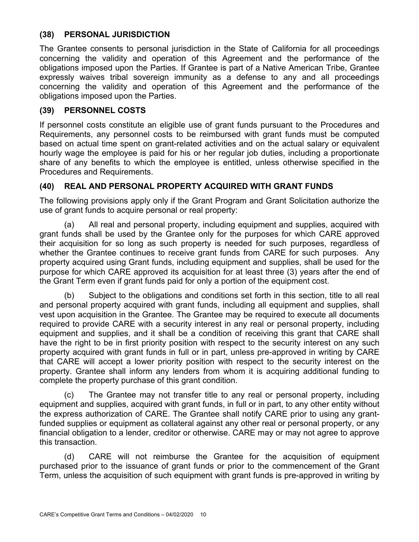#### **(38) PERSONAL JURISDICTION**

The Grantee consents to personal jurisdiction in the State of California for all proceedings concerning the validity and operation of this Agreement and the performance of the obligations imposed upon the Parties. If Grantee is part of a Native American Tribe, Grantee expressly waives tribal sovereign immunity as a defense to any and all proceedings concerning the validity and operation of this Agreement and the performance of the obligations imposed upon the Parties.

#### **(39) PERSONNEL COSTS**

If personnel costs constitute an eligible use of grant funds pursuant to the Procedures and Requirements, any personnel costs to be reimbursed with grant funds must be computed based on actual time spent on grant-related activities and on the actual salary or equivalent hourly wage the employee is paid for his or her regular job duties, including a proportionate share of any benefits to which the employee is entitled, unless otherwise specified in the Procedures and Requirements.

### **(40) REAL AND PERSONAL PROPERTY ACQUIRED WITH GRANT FUNDS**

The following provisions apply only if the Grant Program and Grant Solicitation authorize the use of grant funds to acquire personal or real property:

(a) All real and personal property, including equipment and supplies, acquired with grant funds shall be used by the Grantee only for the purposes for which CARE approved their acquisition for so long as such property is needed for such purposes, regardless of whether the Grantee continues to receive grant funds from CARE for such purposes. Any property acquired using Grant funds, including equipment and supplies, shall be used for the purpose for which CARE approved its acquisition for at least three (3) years after the end of the Grant Term even if grant funds paid for only a portion of the equipment cost.

(b) Subject to the obligations and conditions set forth in this section, title to all real and personal property acquired with grant funds, including all equipment and supplies, shall vest upon acquisition in the Grantee. The Grantee may be required to execute all documents required to provide CARE with a security interest in any real or personal property, including equipment and supplies, and it shall be a condition of receiving this grant that CARE shall have the right to be in first priority position with respect to the security interest on any such property acquired with grant funds in full or in part, unless pre-approved in writing by CARE that CARE will accept a lower priority position with respect to the security interest on the property. Grantee shall inform any lenders from whom it is acquiring additional funding to complete the property purchase of this grant condition.

(c) The Grantee may not transfer title to any real or personal property, including equipment and supplies, acquired with grant funds, in full or in part, to any other entity without the express authorization of CARE. The Grantee shall notify CARE prior to using any grantfunded supplies or equipment as collateral against any other real or personal property, or any financial obligation to a lender, creditor or otherwise. CARE may or may not agree to approve this transaction.

(d) CARE will not reimburse the Grantee for the acquisition of equipment purchased prior to the issuance of grant funds or prior to the commencement of the Grant Term, unless the acquisition of such equipment with grant funds is pre-approved in writing by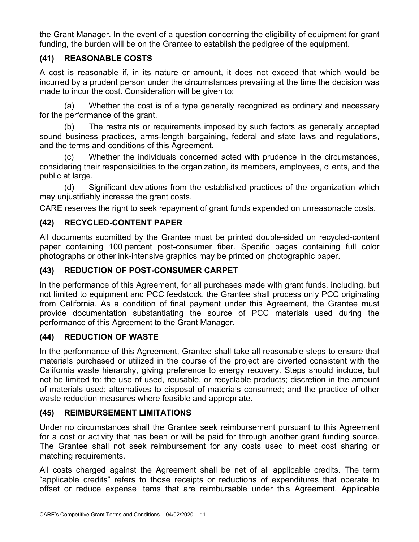the Grant Manager. In the event of a question concerning the eligibility of equipment for grant funding, the burden will be on the Grantee to establish the pedigree of the equipment.

# **(41) REASONABLE COSTS**

A cost is reasonable if, in its nature or amount, it does not exceed that which would be incurred by a prudent person under the circumstances prevailing at the time the decision was made to incur the cost. Consideration will be given to:

(a) Whether the cost is of a type generally recognized as ordinary and necessary for the performance of the grant.

(b) The restraints or requirements imposed by such factors as generally accepted sound business practices, arms-length bargaining, federal and state laws and regulations, and the terms and conditions of this Agreement.

(c) Whether the individuals concerned acted with prudence in the circumstances, considering their responsibilities to the organization, its members, employees, clients, and the public at large.

(d) Significant deviations from the established practices of the organization which may unjustifiably increase the grant costs.

CARE reserves the right to seek repayment of grant funds expended on unreasonable costs.

# **(42) RECYCLED-CONTENT PAPER**

All documents submitted by the Grantee must be printed double-sided on recycled-content paper containing 100 percent post-consumer fiber. Specific pages containing full color photographs or other ink-intensive graphics may be printed on photographic paper.

### **(43) REDUCTION OF POST-CONSUMER CARPET**

In the performance of this Agreement, for all purchases made with grant funds, including, but not limited to equipment and PCC feedstock, the Grantee shall process only PCC originating from California. As a condition of final payment under this Agreement, the Grantee must provide documentation substantiating the source of PCC materials used during the performance of this Agreement to the Grant Manager.

### **(44) REDUCTION OF WASTE**

In the performance of this Agreement, Grantee shall take all reasonable steps to ensure that materials purchased or utilized in the course of the project are diverted consistent with the California waste hierarchy, giving preference to energy recovery. Steps should include, but not be limited to: the use of used, reusable, or recyclable products; discretion in the amount of materials used; alternatives to disposal of materials consumed; and the practice of other waste reduction measures where feasible and appropriate.

### **(45) REIMBURSEMENT LIMITATIONS**

Under no circumstances shall the Grantee seek reimbursement pursuant to this Agreement for a cost or activity that has been or will be paid for through another grant funding source. The Grantee shall not seek reimbursement for any costs used to meet cost sharing or matching requirements.

All costs charged against the Agreement shall be net of all applicable credits. The term "applicable credits" refers to those receipts or reductions of expenditures that operate to offset or reduce expense items that are reimbursable under this Agreement. Applicable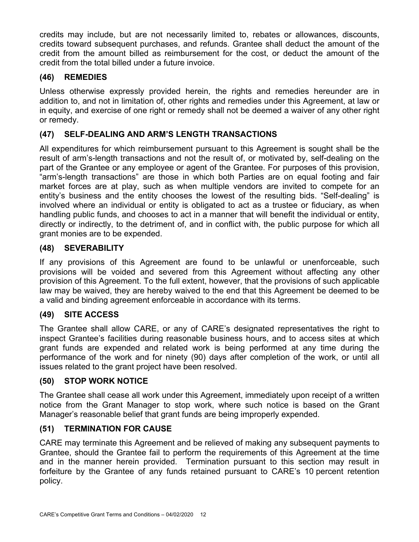credits may include, but are not necessarily limited to, rebates or allowances, discounts, credits toward subsequent purchases, and refunds. Grantee shall deduct the amount of the credit from the amount billed as reimbursement for the cost, or deduct the amount of the credit from the total billed under a future invoice.

# **(46) REMEDIES**

Unless otherwise expressly provided herein, the rights and remedies hereunder are in addition to, and not in limitation of, other rights and remedies under this Agreement, at law or in equity, and exercise of one right or remedy shall not be deemed a waiver of any other right or remedy.

### **(47) SELF-DEALING AND ARM'S LENGTH TRANSACTIONS**

All expenditures for which reimbursement pursuant to this Agreement is sought shall be the result of arm's-length transactions and not the result of, or motivated by, self-dealing on the part of the Grantee or any employee or agent of the Grantee. For purposes of this provision, "arm's-length transactions" are those in which both Parties are on equal footing and fair market forces are at play, such as when multiple vendors are invited to compete for an entity's business and the entity chooses the lowest of the resulting bids. "Self-dealing" is involved where an individual or entity is obligated to act as a trustee or fiduciary, as when handling public funds, and chooses to act in a manner that will benefit the individual or entity, directly or indirectly, to the detriment of, and in conflict with, the public purpose for which all grant monies are to be expended.

#### **(48) SEVERABILITY**

If any provisions of this Agreement are found to be unlawful or unenforceable, such provisions will be voided and severed from this Agreement without affecting any other provision of this Agreement. To the full extent, however, that the provisions of such applicable law may be waived, they are hereby waived to the end that this Agreement be deemed to be a valid and binding agreement enforceable in accordance with its terms.

### **(49) SITE ACCESS**

The Grantee shall allow CARE, or any of CARE's designated representatives the right to inspect Grantee's facilities during reasonable business hours, and to access sites at which grant funds are expended and related work is being performed at any time during the performance of the work and for ninety (90) days after completion of the work, or until all issues related to the grant project have been resolved.

#### **(50) STOP WORK NOTICE**

The Grantee shall cease all work under this Agreement, immediately upon receipt of a written notice from the Grant Manager to stop work, where such notice is based on the Grant Manager's reasonable belief that grant funds are being improperly expended.

#### **(51) TERMINATION FOR CAUSE**

CARE may terminate this Agreement and be relieved of making any subsequent payments to Grantee, should the Grantee fail to perform the requirements of this Agreement at the time and in the manner herein provided. Termination pursuant to this section may result in forfeiture by the Grantee of any funds retained pursuant to CARE's 10 percent retention policy.